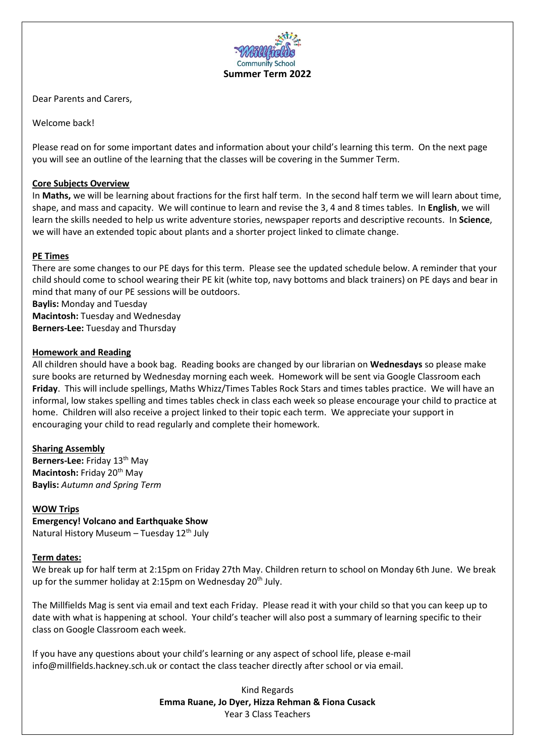

Dear Parents and Carers,

Welcome back!

Please read on for some important dates and information about your child's learning this term. On the next page you will see an outline of the learning that the classes will be covering in the Summer Term.

# **Core Subjects Overview**

In **Maths,** we will be learning about fractions for the first half term. In the second half term we will learn about time, shape, and mass and capacity. We will continue to learn and revise the 3, 4 and 8 times tables. In **English**, we will learn the skills needed to help us write adventure stories, newspaper reports and descriptive recounts. In **Science**, we will have an extended topic about plants and a shorter project linked to climate change.

# **PE Times**

There are some changes to our PE days for this term. Please see the updated schedule below. A reminder that your child should come to school wearing their PE kit (white top, navy bottoms and black trainers) on PE days and bear in mind that many of our PE sessions will be outdoors.

**Baylis:** Monday and Tuesday **Macintosh:** Tuesday and Wednesday **Berners-Lee:** Tuesday and Thursday

# **Homework and Reading**

All children should have a book bag. Reading books are changed by our librarian on **Wednesdays** so please make sure books are returned by Wednesday morning each week. Homework will be sent via Google Classroom each **Friday**. This will include spellings, Maths Whizz/Times Tables Rock Stars and times tables practice. We will have an informal, low stakes spelling and times tables check in class each week so please encourage your child to practice at home. Children will also receive a project linked to their topic each term. We appreciate your support in encouraging your child to read regularly and complete their homework.

# **Sharing Assembly**

**Berners-Lee:** Friday 13<sup>th</sup> May **Macintosh: Friday 20<sup>th</sup> May Baylis:** *Autumn and Spring Term*

# **WOW Trips**

**Emergency! Volcano and Earthquake Show** Natural History Museum – Tuesday 12<sup>th</sup> July

# **Term dates:**

We break up for half term at 2:15pm on Friday 27th May. Children return to school on Monday 6th June. We break up for the summer holiday at 2:15pm on Wednesday  $20<sup>th</sup>$  July.

The Millfields Mag is sent via email and text each Friday. Please read it with your child so that you can keep up to date with what is happening at school. Your child's teacher will also post a summary of learning specific to their class on Google Classroom each week.

If you have any questions about your child's learning or any aspect of school life, please e-mail info@millfields.hackney.sch.uk or contact the class teacher directly after school or via email.

> Kind Regards **Emma Ruane, Jo Dyer, Hizza Rehman & Fiona Cusack**  Year 3 Class Teachers